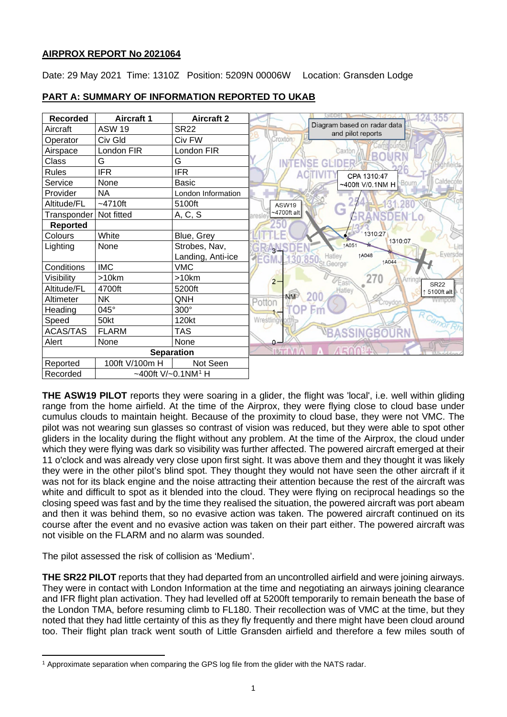# **AIRPROX REPORT No 2021064**

Date: 29 May 2021 Time: 1310Z Position: 5209N 00006W Location: Gransden Lodge

| <b>Recorded</b>                               | <b>Aircraft 1</b> | <b>Aircraft 2</b>  |                                                                            |
|-----------------------------------------------|-------------------|--------------------|----------------------------------------------------------------------------|
| Aircraft                                      | <b>ASW 19</b>     | <b>SR22</b>        | Diagram based on radar data<br>and pilot reports                           |
| Operator                                      | Civ Gld           | Civ FW             | Croxton                                                                    |
| Airspace                                      | London FIR        | London FIR         | Caxton                                                                     |
| Class                                         | G                 | G                  | GLIDER<br>INT                                                              |
| <b>Rules</b>                                  | <b>IFR</b>        | <b>IFR</b>         | CPA 1310:47                                                                |
| Service                                       | None              | <b>Basic</b>       | Calde<br>Bourn<br>~400ft V/0.1NM H                                         |
| Provider                                      | NA                | London Information |                                                                            |
| Altitude/FL                                   | $-4710ft$         | 5100ft             | ASW19                                                                      |
| Transponder                                   | Not fitted        | A, C, S            | G<br>$-4700$ ft alt                                                        |
| <b>Reported</b>                               |                   |                    |                                                                            |
| Colours                                       | White             | Blue, Grey         | 1310:27<br>1310:07                                                         |
| Lighting                                      | None              | Strobes, Nav,      | <b>1A051</b><br>ALL                                                        |
|                                               |                   | Landing, Anti-ice  | Eversde<br><b>1A048</b><br>Hatley<br><b>EGMJ</b><br>130.85<br><b>1A044</b> |
| Conditions                                    | <b>IMC</b>        | <b>VMC</b>         | George <sup>®</sup>                                                        |
| Visibility                                    | $>10$ km          | >10km              | 270<br>Arringt<br>$2 -$<br>East<br><b>SR22</b>                             |
| Altitude/FL                                   | 4700ft            | 5200ft             | Hatley<br>5100ft alt                                                       |
| Altimeter                                     | NΚ                | QNH                | <b>NM</b><br>Pottor<br>toydon                                              |
| Heading                                       | 045°              | $300^\circ$        |                                                                            |
| Speed                                         | 50kt              | 120kt              | Wrestling                                                                  |
| <b>ACAS/TAS</b>                               | <b>FLARM</b>      | TAS                |                                                                            |
| Alert                                         | None              | None               | $0 -$                                                                      |
| <b>Separation</b>                             |                   |                    |                                                                            |
| Reported                                      | 100ft V/100m H    | Not Seen           |                                                                            |
| Recorded<br>~400ft $V/-0.1$ NM <sup>1</sup> H |                   |                    |                                                                            |

# **PART A: SUMMARY OF INFORMATION REPORTED TO UKAB**

**THE ASW19 PILOT** reports they were soaring in a glider, the flight was 'local', i.e. well within gliding range from the home airfield. At the time of the Airprox, they were flying close to cloud base under cumulus clouds to maintain height. Because of the proximity to cloud base, they were not VMC. The pilot was not wearing sun glasses so contrast of vision was reduced, but they were able to spot other gliders in the locality during the flight without any problem. At the time of the Airprox, the cloud under which they were flying was dark so visibility was further affected. The powered aircraft emerged at their 11 o'clock and was already very close upon first sight. It was above them and they thought it was likely they were in the other pilot's blind spot. They thought they would not have seen the other aircraft if it was not for its black engine and the noise attracting their attention because the rest of the aircraft was white and difficult to spot as it blended into the cloud. They were flying on reciprocal headings so the closing speed was fast and by the time they realised the situation, the powered aircraft was port abeam and then it was behind them, so no evasive action was taken. The powered aircraft continued on its course after the event and no evasive action was taken on their part either. The powered aircraft was not visible on the FLARM and no alarm was sounded.

The pilot assessed the risk of collision as 'Medium'.

**THE SR22 PILOT** reports that they had departed from an uncontrolled airfield and were joining airways. They were in contact with London Information at the time and negotiating an airways joining clearance and IFR flight plan activation. They had levelled off at 5200ft temporarily to remain beneath the base of the London TMA, before resuming climb to FL180. Their recollection was of VMC at the time, but they noted that they had little certainty of this as they fly frequently and there might have been cloud around too. Their flight plan track went south of Little Gransden airfield and therefore a few miles south of

<span id="page-0-0"></span><sup>1</sup> Approximate separation when comparing the GPS log file from the glider with the NATS radar.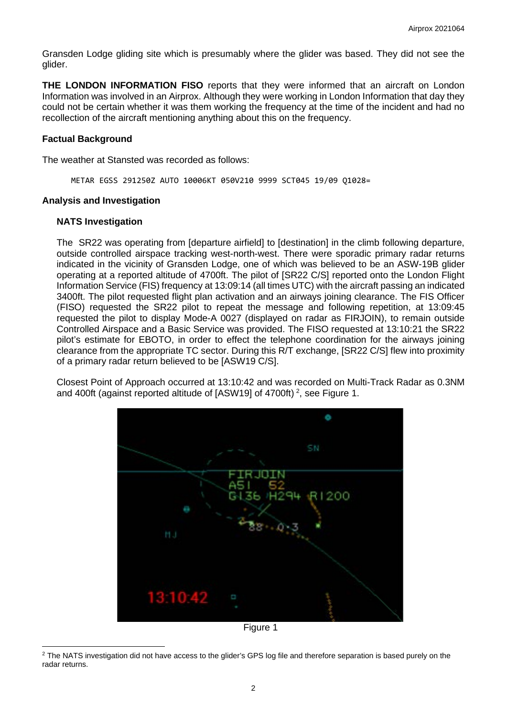Gransden Lodge gliding site which is presumably where the glider was based. They did not see the glider.

**THE LONDON INFORMATION FISO** reports that they were informed that an aircraft on London Information was involved in an Airprox. Although they were working in London Information that day they could not be certain whether it was them working the frequency at the time of the incident and had no recollection of the aircraft mentioning anything about this on the frequency.

### **Factual Background**

The weather at Stansted was recorded as follows:

METAR EGSS 291250Z AUTO 10006KT 050V210 9999 SCT045 19/09 Q1028=

### **Analysis and Investigation**

### **NATS Investigation**

The SR22 was operating from [departure airfield] to [destination] in the climb following departure, outside controlled airspace tracking west-north-west. There were sporadic primary radar returns indicated in the vicinity of Gransden Lodge, one of which was believed to be an ASW-19B glider operating at a reported altitude of 4700ft. The pilot of [SR22 C/S] reported onto the London Flight Information Service (FIS) frequency at 13:09:14 (all times UTC) with the aircraft passing an indicated 3400ft. The pilot requested flight plan activation and an airways joining clearance. The FIS Officer (FISO) requested the SR22 pilot to repeat the message and following repetition, at 13:09:45 requested the pilot to display Mode-A 0027 (displayed on radar as FIRJOIN), to remain outside Controlled Airspace and a Basic Service was provided. The FISO requested at 13:10:21 the SR22 pilot's estimate for EBOTO, in order to effect the telephone coordination for the airways joining clearance from the appropriate TC sector. During this R/T exchange, [SR22 C/S] flew into proximity of a primary radar return believed to be [ASW19 C/S].

Closest Point of Approach occurred at 13:10:42 and was recorded on Multi-Track Radar as 0.3NM and 400ft (against reported altitude of [ASW19] of 4700ft) <sup>[2](#page-1-0)</sup>, see Figure 1.



Figure 1

<span id="page-1-0"></span><sup>&</sup>lt;sup>2</sup> The NATS investigation did not have access to the glider's GPS log file and therefore separation is based purely on the radar returns.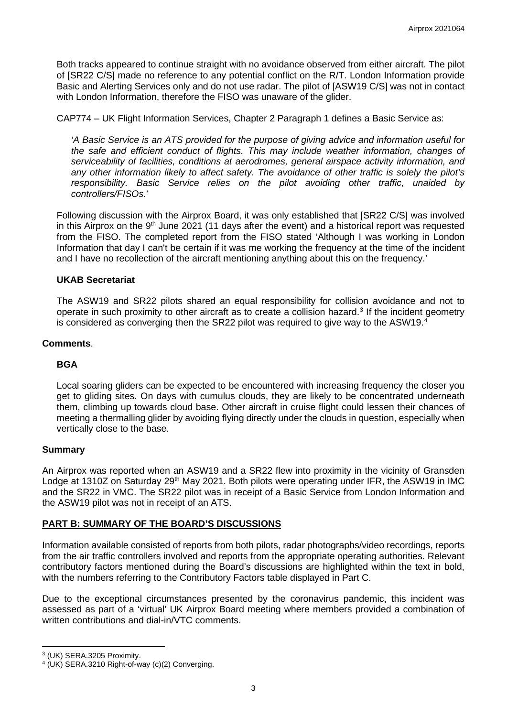Both tracks appeared to continue straight with no avoidance observed from either aircraft. The pilot of [SR22 C/S] made no reference to any potential conflict on the R/T. London Information provide Basic and Alerting Services only and do not use radar. The pilot of [ASW19 C/S] was not in contact with London Information, therefore the FISO was unaware of the glider.

CAP774 – UK Flight Information Services, Chapter 2 Paragraph 1 defines a Basic Service as:

*'A Basic Service is an ATS provided for the purpose of giving advice and information useful for the safe and efficient conduct of flights. This may include weather information, changes of serviceability of facilities, conditions at aerodromes, general airspace activity information, and any other information likely to affect safety. The avoidance of other traffic is solely the pilot's responsibility. Basic Service relies on the pilot avoiding other traffic, unaided by controllers/FISOs.*'

Following discussion with the Airprox Board, it was only established that [SR22 C/S] was involved in this Airprox on the  $9<sup>th</sup>$  June 2021 (11 days after the event) and a historical report was requested from the FISO. The completed report from the FISO stated 'Although I was working in London Information that day I can't be certain if it was me working the frequency at the time of the incident and I have no recollection of the aircraft mentioning anything about this on the frequency.'

## **UKAB Secretariat**

The ASW19 and SR22 pilots shared an equal responsibility for collision avoidance and not to operate in such proximity to other aircraft as to create a collision hazard.<sup>[3](#page-2-0)</sup> If the incident geometry is considered as converging then the SR22 pilot was required to give way to the ASW19.<sup>[4](#page-2-1)</sup>

### **Comments**.

## **BGA**

Local soaring gliders can be expected to be encountered with increasing frequency the closer you get to gliding sites. On days with cumulus clouds, they are likely to be concentrated underneath them, climbing up towards cloud base. Other aircraft in cruise flight could lessen their chances of meeting a thermalling glider by avoiding flying directly under the clouds in question, especially when vertically close to the base.

### **Summary**

An Airprox was reported when an ASW19 and a SR22 flew into proximity in the vicinity of Gransden Lodge at 1310Z on Saturday 29<sup>th</sup> May 2021. Both pilots were operating under IFR, the ASW19 in IMC and the SR22 in VMC. The SR22 pilot was in receipt of a Basic Service from London Information and the ASW19 pilot was not in receipt of an ATS.

## **PART B: SUMMARY OF THE BOARD'S DISCUSSIONS**

Information available consisted of reports from both pilots, radar photographs/video recordings, reports from the air traffic controllers involved and reports from the appropriate operating authorities. Relevant contributory factors mentioned during the Board's discussions are highlighted within the text in bold, with the numbers referring to the Contributory Factors table displayed in Part C.

Due to the exceptional circumstances presented by the coronavirus pandemic, this incident was assessed as part of a 'virtual' UK Airprox Board meeting where members provided a combination of written contributions and dial-in/VTC comments.

<span id="page-2-0"></span><sup>3</sup> (UK) SERA.3205 Proximity.

<span id="page-2-1"></span><sup>4</sup> (UK) SERA.3210 Right-of-way (c)(2) Converging.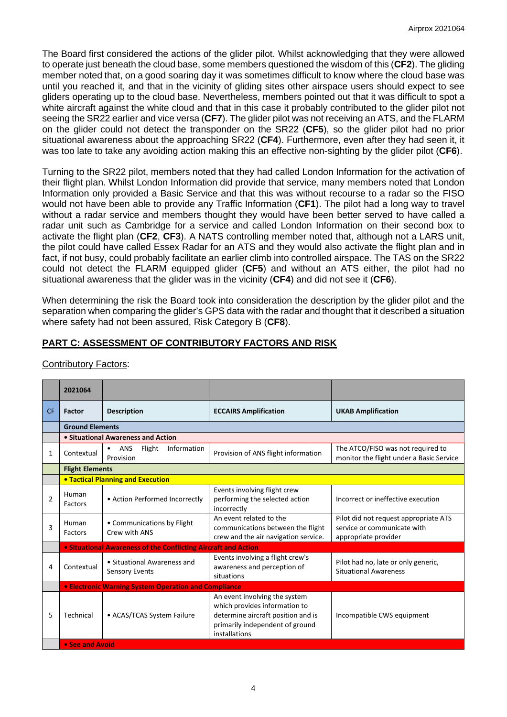The Board first considered the actions of the glider pilot. Whilst acknowledging that they were allowed to operate just beneath the cloud base, some members questioned the wisdom of this (**CF2**). The gliding member noted that, on a good soaring day it was sometimes difficult to know where the cloud base was until you reached it, and that in the vicinity of gliding sites other airspace users should expect to see gliders operating up to the cloud base. Nevertheless, members pointed out that it was difficult to spot a white aircraft against the white cloud and that in this case it probably contributed to the glider pilot not seeing the SR22 earlier and vice versa (**CF7**). The glider pilot was not receiving an ATS, and the FLARM on the glider could not detect the transponder on the SR22 (**CF5**), so the glider pilot had no prior situational awareness about the approaching SR22 (**CF4**). Furthermore, even after they had seen it, it was too late to take any avoiding action making this an effective non-sighting by the glider pilot (**CF6**).

Turning to the SR22 pilot, members noted that they had called London Information for the activation of their flight plan. Whilst London Information did provide that service, many members noted that London Information only provided a Basic Service and that this was without recourse to a radar so the FISO would not have been able to provide any Traffic Information (**CF1**). The pilot had a long way to travel without a radar service and members thought they would have been better served to have called a radar unit such as Cambridge for a service and called London Information on their second box to activate the flight plan (**CF2**, **CF3**). A NATS controlling member noted that, although not a LARS unit, the pilot could have called Essex Radar for an ATS and they would also activate the flight plan and in fact, if not busy, could probably facilitate an earlier climb into controlled airspace. The TAS on the SR22 could not detect the FLARM equipped glider (**CF5**) and without an ATS either, the pilot had no situational awareness that the glider was in the vicinity (**CF4**) and did not see it (**CF6**).

When determining the risk the Board took into consideration the description by the glider pilot and the separation when comparing the glider's GPS data with the radar and thought that it described a situation where safety had not been assured, Risk Category B (**CF8**).

# **PART C: ASSESSMENT OF CONTRIBUTORY FACTORS AND RISK**

|                | 2021064                                              |                                                                |                                                                                                                                                          |                                                                                              |  |  |  |  |
|----------------|------------------------------------------------------|----------------------------------------------------------------|----------------------------------------------------------------------------------------------------------------------------------------------------------|----------------------------------------------------------------------------------------------|--|--|--|--|
| <b>CF</b>      | <b>Factor</b>                                        | <b>Description</b>                                             | <b>ECCAIRS Amplification</b>                                                                                                                             | <b>UKAB Amplification</b>                                                                    |  |  |  |  |
|                |                                                      | <b>Ground Elements</b>                                         |                                                                                                                                                          |                                                                                              |  |  |  |  |
|                |                                                      | • Situational Awareness and Action                             |                                                                                                                                                          |                                                                                              |  |  |  |  |
| 1              | Contextual                                           | Flight<br>Information<br><b>ANS</b><br>$\bullet$<br>Provision  | Provision of ANS flight information                                                                                                                      | The ATCO/FISO was not required to<br>monitor the flight under a Basic Service                |  |  |  |  |
|                | <b>Flight Elements</b>                               |                                                                |                                                                                                                                                          |                                                                                              |  |  |  |  |
|                |                                                      | <b>. Tactical Planning and Execution</b>                       |                                                                                                                                                          |                                                                                              |  |  |  |  |
| $\overline{2}$ | Human<br>Factors                                     | • Action Performed Incorrectly                                 | Events involving flight crew<br>performing the selected action<br>incorrectly                                                                            | Incorrect or ineffective execution                                                           |  |  |  |  |
| 3              | Human<br><b>Factors</b>                              | • Communications by Flight<br>Crew with ANS                    | An event related to the<br>communications between the flight<br>crew and the air navigation service.                                                     | Pilot did not request appropriate ATS<br>service or communicate with<br>appropriate provider |  |  |  |  |
|                |                                                      | • Situational Awareness of the Conflicting Aircraft and Action |                                                                                                                                                          |                                                                                              |  |  |  |  |
| 4              | Contextual                                           | • Situational Awareness and<br><b>Sensory Events</b>           | Events involving a flight crew's<br>awareness and perception of<br>situations                                                                            | Pilot had no, late or only generic,<br><b>Situational Awareness</b>                          |  |  |  |  |
|                | • Electronic Warning System Operation and Compliance |                                                                |                                                                                                                                                          |                                                                                              |  |  |  |  |
| 5              | Technical                                            | • ACAS/TCAS System Failure                                     | An event involving the system<br>which provides information to<br>determine aircraft position and is<br>primarily independent of ground<br>installations | Incompatible CWS equipment                                                                   |  |  |  |  |
|                | • See and Avoid                                      |                                                                |                                                                                                                                                          |                                                                                              |  |  |  |  |

### Contributory Factors: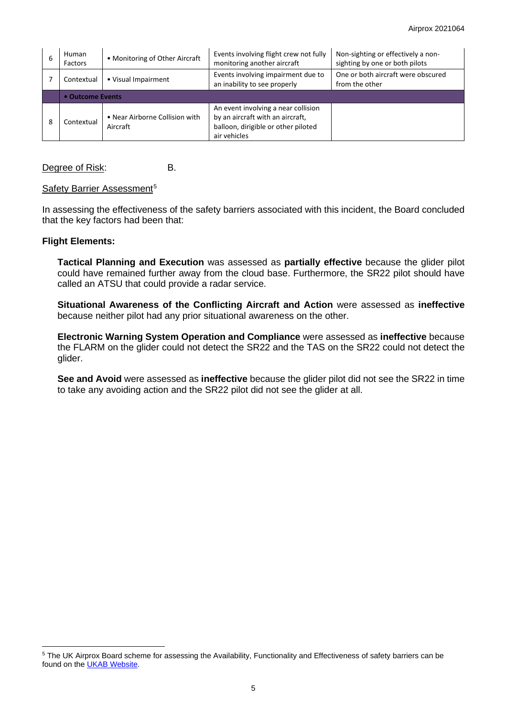| 6 | Human<br>Factors                  | • Monitoring of Other Aircraft             | Events involving flight crew not fully<br>monitoring another aircraft                                                          | Non-sighting or effectively a non-<br>sighting by one or both pilots |  |  |  |
|---|-----------------------------------|--------------------------------------------|--------------------------------------------------------------------------------------------------------------------------------|----------------------------------------------------------------------|--|--|--|
|   | • Visual Impairment<br>Contextual |                                            | Events involving impairment due to<br>an inability to see properly                                                             | One or both aircraft were obscured<br>from the other                 |  |  |  |
|   | • Outcome Events                  |                                            |                                                                                                                                |                                                                      |  |  |  |
| 8 | Contextual                        | • Near Airborne Collision with<br>Aircraft | An event involving a near collision<br>by an aircraft with an aircraft,<br>balloon, dirigible or other piloted<br>air vehicles |                                                                      |  |  |  |

Degree of Risk: B.

### Safety Barrier Assessment<sup>[5](#page-4-0)</sup>

In assessing the effectiveness of the safety barriers associated with this incident, the Board concluded that the key factors had been that:

### **Flight Elements:**

**Tactical Planning and Execution** was assessed as **partially effective** because the glider pilot could have remained further away from the cloud base. Furthermore, the SR22 pilot should have called an ATSU that could provide a radar service.

**Situational Awareness of the Conflicting Aircraft and Action** were assessed as **ineffective** because neither pilot had any prior situational awareness on the other.

**Electronic Warning System Operation and Compliance** were assessed as **ineffective** because the FLARM on the glider could not detect the SR22 and the TAS on the SR22 could not detect the glider.

**See and Avoid** were assessed as **ineffective** because the glider pilot did not see the SR22 in time to take any avoiding action and the SR22 pilot did not see the glider at all.

<span id="page-4-0"></span><sup>&</sup>lt;sup>5</sup> The UK Airprox Board scheme for assessing the Availability, Functionality and Effectiveness of safety barriers can be found on the [UKAB Website.](http://www.airproxboard.org.uk/Learn-more/Airprox-Barrier-Assessment/)